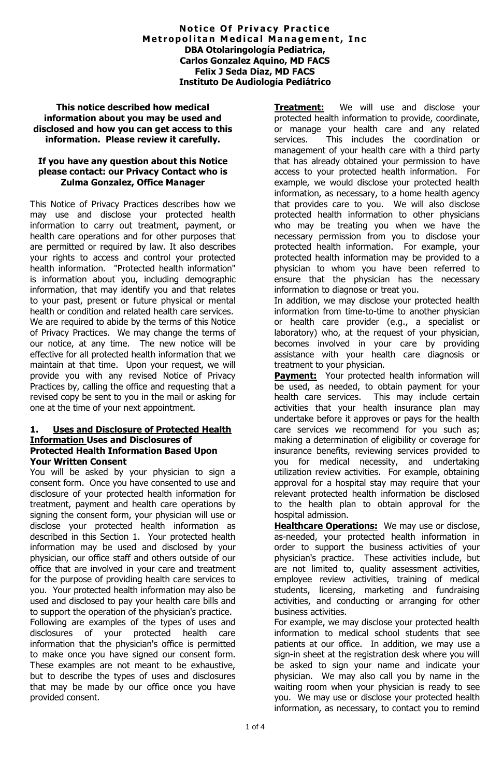### **This notice described how medical information about you may be used and disclosed and how you can get access to this information. Please review it carefully.**

### **If you have any question about this Notice please contact: our Privacy Contact who is Zulma Gonzalez, Office Manager**

This Notice of Privacy Practices describes how we may use and disclose your protected health information to carry out treatment, payment, or health care operations and for other purposes that are permitted or required by law. It also describes your rights to access and control your protected health information. "Protected health information" is information about you, including demographic information, that may identify you and that relates to your past, present or future physical or mental health or condition and related health care services. We are required to abide by the terms of this Notice of Privacy Practices. We may change the terms of our notice, at any time. The new notice will be effective for all protected health information that we maintain at that time. Upon your request, we will provide you with any revised Notice of Privacy Practices by, calling the office and requesting that a revised copy be sent to you in the mail or asking for one at the time of your next appointment.

## **1. Uses and Disclosure of Protected Health Information Uses and Disclosures of Protected Health Information Based Upon Your Written Consent**

You will be asked by your physician to sign a consent form. Once you have consented to use and disclosure of your protected health information for treatment, payment and health care operations by signing the consent form, your physician will use or disclose your protected health information as described in this Section 1. Your protected health information may be used and disclosed by your physician, our office staff and others outside of our office that are involved in your care and treatment for the purpose of providing health care services to you. Your protected health information may also be used and disclosed to pay your health care bills and to support the operation of the physician's practice. Following are examples of the types of uses and disclosures of your protected health care information that the physician's office is permitted to make once you have signed our consent form. These examples are not meant to be exhaustive, but to describe the types of uses and disclosures that may be made by our office once you have provided consent.

**Treatment:** We will use and disclose your protected health information to provide, coordinate, or manage your health care and any related services. This includes the coordination or management of your health care with a third party that has already obtained your permission to have access to your protected health information. For example, we would disclose your protected health information, as necessary, to a home health agency that provides care to you. We will also disclose protected health information to other physicians who may be treating you when we have the necessary permission from you to disclose your protected health information. For example, your protected health information may be provided to a physician to whom you have been referred to ensure that the physician has the necessary information to diagnose or treat you.

In addition, we may disclose your protected health information from time-to-time to another physician or health care provider (e.g., a specialist or laboratory) who, at the request of your physician, becomes involved in your care by providing assistance with your health care diagnosis or treatment to your physician.

**Payment:** Your protected health information will be used, as needed, to obtain payment for your health care services. This may include certain activities that your health insurance plan may undertake before it approves or pays for the health care services we recommend for you such as; making a determination of eligibility or coverage for insurance benefits, reviewing services provided to you for medical necessity, and undertaking utilization review activities. For example, obtaining approval for a hospital stay may require that your relevant protected health information be disclosed to the health plan to obtain approval for the hospital admission.

**Healthcare Operations:** We may use or disclose, as-needed, your protected health information in order to support the business activities of your physician's practice. These activities include, but are not limited to, quality assessment activities, employee review activities, training of medical students, licensing, marketing and fundraising activities, and conducting or arranging for other business activities.

For example, we may disclose your protected health information to medical school students that see patients at our office. In addition, we may use a sign-in sheet at the registration desk where you will be asked to sign your name and indicate your physician. We may also call you by name in the waiting room when your physician is ready to see you. We may use or disclose your protected health information, as necessary, to contact you to remind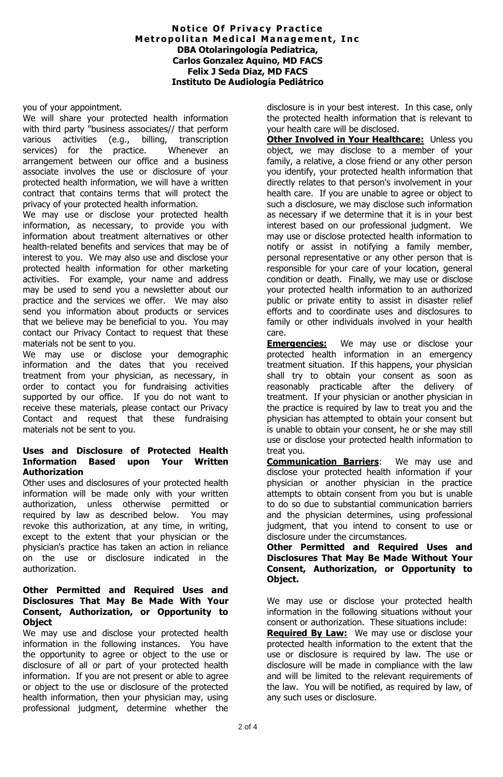### you of your appointment.

We will share your protected health information with third party "business associates// that perform various activities (e.g., billing, transcription services) for the practice. Whenever an arrangement between our office and a business associate involves the use or disclosure of your protected health information, we will have a written contract that contains terms that will protect the privacy of your protected health information.

We may use or disclose your protected health information, as necessary, to provide you with information about treatment alternatives or other health-related benefits and services that may be of interest to you. We may also use and disclose your protected health information for other marketing activities. For example, your name and address may be used to send you a newsletter about our practice and the services we offer. We may also send you information about products or services that we believe may be beneficial to you. You may contact our Privacy Contact to request that these materials not be sent to you.

We may use or disclose your demographic information and the dates that you received treatment from your physician, as necessary, in order to contact you for fundraising activities supported by our office. If you do not want to receive these materials, please contact our Privacy Contact and request that these fundraising materials not be sent to you.

### **Uses and Disclosure of Protected Health Information Based upon Your Written Authorization**

Other uses and disclosures of your protected health information will be made only with your written authorization, unless otherwise permitted or required by law as described below. You may revoke this authorization, at any time, in writing, except to the extent that your physician or the physician's practice has taken an action in reliance on the use or disclosure indicated in the authorization.

## **Other Permitted and Required Uses and Disclosures That May Be Made With Your Consent, Authorization, or Opportunity to Object**

We may use and disclose your protected health information in the following instances. You have the opportunity to agree or object to the use or disclosure of all or part of your protected health information. If you are not present or able to agree or object to the use or disclosure of the protected health information, then your physician may, using professional judgment, determine whether the disclosure is in your best interest. In this case, only the protected health information that is relevant to your health care will be disclosed.

**Other Involved in Your Healthcare:** Unless you object, we may disclose to a member of your family, a relative, a close friend or any other person you identify, your protected health information that directly relates to that person's involvement in your health care. If you are unable to agree or object to such a disclosure, we may disclose such information as necessary if we determine that it is in your best interest based on our professional judgment. We may use or disclose protected health information to notify or assist in notifying a family member, personal representative or any other person that is responsible for your care of your location, general condition or death. Finally, we may use or disclose your protected health information to an authorized public or private entity to assist in disaster relief efforts and to coordinate uses and disclosures to family or other individuals involved in your health care.

**Emergencies:** We may use or disclose your protected health information in an emergency treatment situation. If this happens, your physician shall try to obtain your consent as soon as reasonably practicable after the delivery of treatment. If your physician or another physician in the practice is required by law to treat you and the physician has attempted to obtain your consent but is unable to obtain your consent, he or she may still use or disclose your protected health information to treat you.

**Communication Barriers**: We may use and disclose your protected health information if your physician or another physician in the practice attempts to obtain consent from you but is unable to do so due to substantial communication barriers and the physician determines, using professional judgment, that you intend to consent to use or disclosure under the circumstances.

## **Other Permitted and Required Uses and Disclosures That May Be Made Without Your Consent, Authorization, or Opportunity to Object.**

We may use or disclose your protected health information in the following situations without your consent or authorization. These situations include:

**Required By Law:** We may use or disclose your protected health information to the extent that the use or disclosure is required by law. The use or disclosure will be made in compliance with the law and will be limited to the relevant requirements of the law. You will be notified, as required by law, of any such uses or disclosure.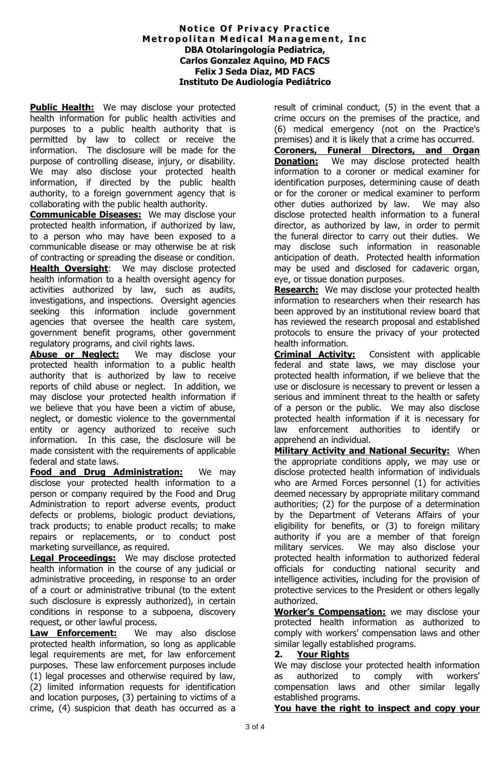**Public Health:** We may disclose your protected health information for public health activities and purposes to a public health authority that is permitted by law to collect or receive the information. The disclosure will be made for the purpose of controlling disease, injury, or disability. We may also disclose your protected health information, if directed by the public health authority, to a foreign government agency that is collaborating with the public health authority.

**Communicable Diseases:** We may disclose your protected health information, if authorized by law, to a person who may have been exposed to a communicable disease or may otherwise be at risk of contracting or spreading the disease or condition. **Health Oversight**: We may disclose protected health information to a health oversight agency for activities authorized by law, such as audits, investigations, and inspections. Oversight agencies seeking this information include government agencies that oversee the health care system, government benefit programs, other government regulatory programs, and civil rights laws.

**Abuse or Neglect:** We may disclose your protected health information to a public health authority that is authorized by law to receive reports of child abuse or neglect. In addition, we may disclose your protected health information if we believe that you have been a victim of abuse, neglect, or domestic violence to the governmental entity or agency authorized to receive such information. In this case, the disclosure will be made consistent with the requirements of applicable federal and state laws.

**Food and Drug Administration:** We may disclose your protected health information to a person or company required by the Food and Drug Administration to report adverse events, product defects or problems, biologic product deviations, track products; to enable product recalls; to make repairs or replacements, or to conduct post marketing surveillance, as required.

**Legal Proceedings:** We may disclose protected health information in the course of any judicial or administrative proceeding, in response to an order of a court or administrative tribunal (to the extent such disclosure is expressly authorized), in certain conditions in response to a subpoena, discovery request, or other lawful process.

Law Enforcement: We may also disclose protected health information, so long as applicable legal requirements are met, for law enforcement purposes. These law enforcement purposes include (1) legal processes and otherwise required by law, (2) limited information requests for identification and location purposes, (3) pertaining to victims of a crime, (4) suspicion that death has occurred as a

result of criminal conduct, (5) in the event that a crime occurs on the premises of the practice, and (6) medical emergency (not on the Practice's premises) and it is likely that a crime has occurred.

**Coroners, Funeral Directors, and Organ Donation:** We may disclose protected health information to a coroner or medical examiner for identification purposes, determining cause of death or for the coroner or medical examiner to perform other duties authorized by law. We may also disclose protected health information to a funeral director, as authorized by law, in order to permit the funeral director to carry out their duties. We may disclose such information in reasonable anticipation of death. Protected health information may be used and disclosed for cadaveric organ, eye, or tissue donation purposes.

**Research:** We may disclose your protected health information to researchers when their research has been approved by an institutional review board that has reviewed the research proposal and established protocols to ensure the privacy of your protected health information.

**Criminal Activity:** Consistent with applicable federal and state laws, we may disclose your protected health information, if we believe that the use or disclosure is necessary to prevent or lessen a serious and imminent threat to the health or safety of a person or the public. We may also disclose protected health information if it is necessary for law enforcement authorities to identify or apprehend an individual.

**Military Activity and National Security:** When the appropriate conditions apply, we may use or disclose protected health information of individuals who are Armed Forces personnel (1) for activities deemed necessary by appropriate military command authorities; (2) for the purpose of a determination by the Department of Veterans Affairs of your eligibility for benefits, or (3) to foreign military authority if you are a member of that foreign military services. We may also disclose your protected health information to authorized federal officials for conducting national security and intelligence activities, including for the provision of protective services to the President or others legally authorized.

**Worker's Compensation:** we may disclose your protected health information as authorized to comply with workers' compensation laws and other similar legally established programs.

## **2. Your Rights**

We may disclose your protected health information as authorized to comply with workers' compensation laws and other similar legally established programs.

**You have the right to inspect and copy your**